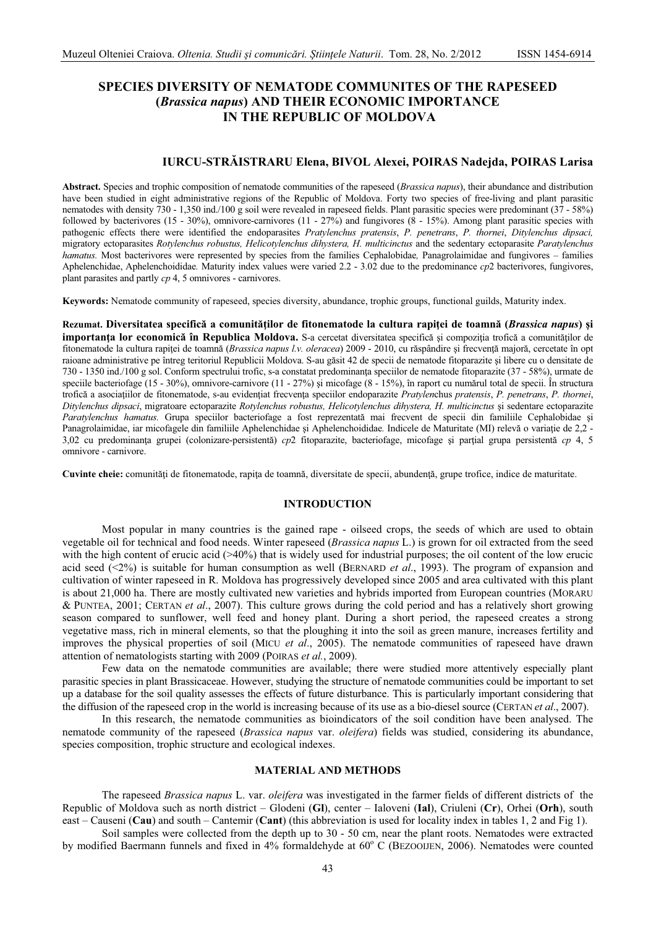# **SPECIES DIVERSITY OF NEMATODE COMMUNITES OF THE RAPESEED** (Brassica napus) AND THEIR ECONOMIC IMPORTANCE IN THE REPUBLIC OF MOLDOVA

# IURCU-STRĂISTRARU Elena, BIVOL Alexei, POIRAS Nadejda, POIRAS Larisa

Abstract. Species and trophic composition of nematode communities of the rapeseed (*Brassica napus*), their abundance and distribution have been studied in eight administrative regions of the Republic of Moldova. Forty two species of free-living and plant parasitic nematodes with density 730 - 1,350 ind./100 g soil were revealed in rapeseed fields. Plant parasitic species were predominant (37 - 58%) followed by bacterivores (15 - 30%), omnivore-carnivores (11 - 27%) and fungivores (8 - 15%). Among plant parasitic species with pathogenic effects there were identified the endoparasites Pratylenchus pratensis, P. penetrans, P. thornei, Ditylenchus dipsaci, migratory ectoparasites Rotylenchus robustus, Helicotylenchus dihystera, H. multicinctus and the sedentary ectoparasite Paratylenchus hamatus. Most bacterivores were represented by species from the families Cephalobidae, Panagrolaimidae and fungivores - families Aphelenchidae, Aphelenchoididae. Maturity index values were varied 2.2 - 3.02 due to the predominance  $cp2$  bacterivores, fungivores, plant parasites and partly  $cp$  4, 5 omnivores - carnivores.

Keywords: Nematode community of rapeseed, species diversity, abundance, trophic groups, functional guilds, Maturity index.

Rezumat. Diversitatea specifică a comunităților de fitonematode la cultura rapiței de toamnă (Brassica napus) și importanta lor economică în Republica Moldova. S-a cercetat diversitatea specifică și compoziția trofică a comunităților de fitonematode la cultura rapitei de toamnă (Brassica napus l.v. oleracea) 2009 - 2010, cu răspândire și frecvență majoră, cercetate în opt raioane administrative pe întreg teritoriul Republicii Moldova. S-au găsit 42 de specii de nematode fitoparazite și libere cu o densitate de 730 - 1350 ind./100 g sol. Conform spectrului trofic, s-a constatat predominanta speciilor de nematode fitoparazite (37 - 58%), urmate de speciile bacteriofage (15 - 30%), omnivore-carnivore (11 - 27%) si micofage (8 - 15%), în raport cu numărul total de specii. În structura trofică a asociatiilor de fitonematode, s-au evidentiat frecventa speciilor endoparazite Pratylenchus pratensis, P. penetrans, P. thornei, Ditylenchus dipsaci, migratoare ectoparazite Rotylenchus robustus, Helicotylenchus dihystera, H. multicinctus și sedentare ectoparazite Paratylenchus hamatus. Grupa speciilor bacteriofage a fost reprezentată mai frecvent de specii din familiile Cephalobidae si Panagrolaimidae, iar micofagele din familiile Aphelenchidae și Aphelenchoididae. Indicele de Maturitate (MI) relevă o variație de 2,2 -3,02 cu predominanța grupei (colonizare-persistentă) cp2 fitoparazite, bacteriofage, micofage și parțial grupa persistentă cp 4, 5 omnivore - carnivore.

Cuvinte cheie: comunități de fitonematode, rapița de toamnă, diversitate de specii, abundență, grupe trofice, indice de maturitate.

# **INTRODUCTION**

Most popular in many countries is the gained rape - oilseed crops, the seeds of which are used to obtain vegetable oil for technical and food needs. Winter rapeseed (Brassica napus L.) is grown for oil extracted from the seed with the high content of erucic acid  $(>40\%)$  that is widely used for industrial purposes; the oil content of the low erucic acid seed  $(\leq 2\%)$  is suitable for human consumption as well (BERNARD *et al.*, 1993). The program of expansion and cultivation of winter rapeseed in R. Moldova has progressively developed since 2005 and area cultivated with this plant is about 21,000 ha. There are mostly cultivated new varieties and hybrids imported from European countries (MORARU & PUNTEA, 2001; CERTAN et al., 2007). This culture grows during the cold period and has a relatively short growing season compared to sunflower, well feed and honey plant. During a short period, the rapeseed creates a strong vegetative mass, rich in mineral elements, so that the ploughing it into the soil as green manure, increases fertility and improves the physical properties of soil (MICU et al., 2005). The nematode communities of rapeseed have drawn attention of nematologists starting with 2009 (POIRAS et al., 2009).

Few data on the nematode communities are available; there were studied more attentively especially plant parasitic species in plant Brassicaceae. However, studying the structure of nematode communities could be important to set up a database for the soil quality assesses the effects of future disturbance. This is particularly important considering that the diffusion of the rapeseed crop in the world is increasing because of its use as a bio-diesel source (CERTAN et al., 2007).

In this research, the nematode communities as bioindicators of the soil condition have been analysed. The nematode community of the rapeseed (*Brassica napus* var. *oleifera*) fields was studied, considering its abundance, species composition, trophic structure and ecological indexes.

### **MATERIAL AND METHODS**

The rapeseed Brassica napus L. var. oleifera was investigated in the farmer fields of different districts of the Republic of Moldova such as north district – Glodeni (GI), center – Ialoveni (Ial), Criuleni (Cr), Orhei (Orh), south east – Causeni (Cau) and south – Cantemir (Cant) (this abbreviation is used for locality index in tables 1, 2 and Fig 1).

Soil samples were collected from the depth up to 30 - 50 cm, near the plant roots. Nematodes were extracted by modified Baermann funnels and fixed in 4% formaldehyde at 60° C (BEZOOIJEN, 2006). Nematodes were counted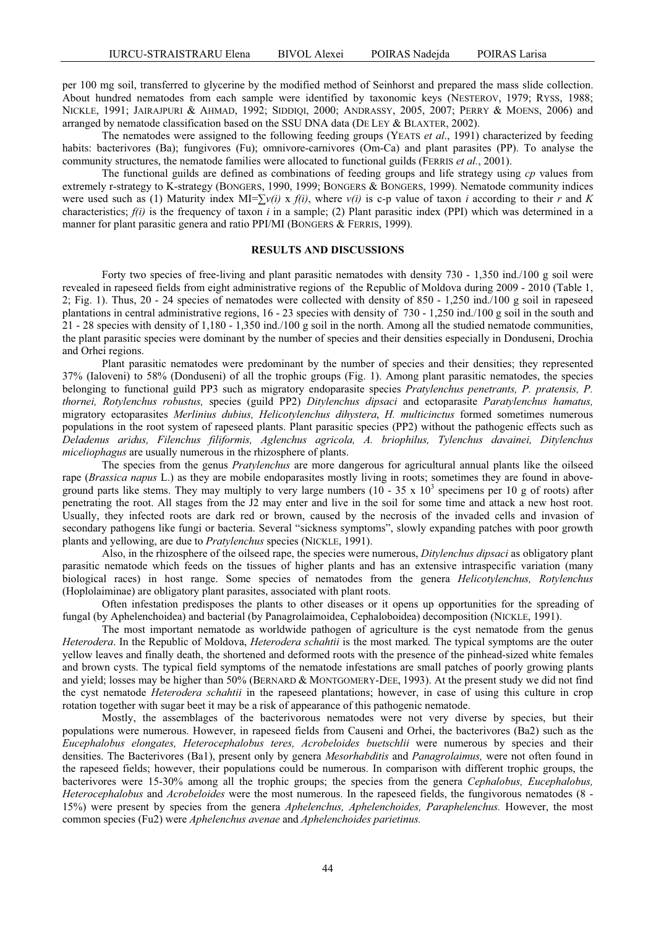per 100 mg soil, transferred to glycerine by the modified method of Seinhorst and prepared the mass slide collection. About hundred nematodes from each sample were identified by taxonomic keys (NESTEROV, 1979; RYSS, 1988; NICKLE, 1991; JAIRAJPURI & AHMAD, 1992; SIDDIQI, 2000; ANDRASSY, 2005, 2007; PERRY & MOENS, 2006) and arranged by nematode classification based on the SSU DNA data (DE LEY & BLAXTER, 2002).

The nematodes were assigned to the following feeding groups (YEATS *et al*., 1991) characterized by feeding habits: bacterivores (Ba); fungivores (Fu); omnivore-carnivores (Om-Ca) and plant parasites (PP). To analyse the community structures, the nematode families were allocated to functional guilds (FERRIS *et al.*, 2001).

The functional guilds are defined as combinations of feeding groups and life strategy using *cp* values from extremely r-strategy to K-strategy (BONGERS, 1990, 1999; BONGERS & BONGERS, 1999). Nematode community indices were used such as (1) Maturity index  $MI = \sum v(i) x f(i)$ , where  $v(i)$  is c-p value of taxon *i* according to their *r* and *K* characteristics;  $f(i)$  is the frequency of taxon *i* in a sample; (2) Plant parasitic index (PPI) which was determined in a manner for plant parasitic genera and ratio PPI/MI (BONGERS & FERRIS, 1999).

# **RESULTS AND DISCUSSIONS**

Forty two species of free-living and plant parasitic nematodes with density 730 - 1,350 ind./100 g soil were revealed in rapeseed fields from eight administrative regions of the Republic of Moldova during 2009 - 2010 (Table 1, 2; Fig. 1). Thus, 20 - 24 species of nematodes were collected with density of 850 - 1,250 ind./100 g soil in rapeseed plantations in central administrative regions, 16 - 23 species with density of 730 - 1,250 ind./100 g soil in the south and 21 - 28 species with density of 1,180 - 1,350 ind./100 g soil in the north. Among all the studied nematode communities, the plant parasitic species were dominant by the number of species and their densities especially in Donduseni, Drochia and Orhei regions.

Plant parasitic nematodes were predominant by the number of species and their densities; they represented 37% (Ialoveni) to 58% (Donduseni) of all the trophic groups (Fig. 1). Among plant parasitic nematodes, the species belonging to functional guild PP3 such as migratory endoparasite species *Pratylenchus penetrants, P. pratensis, P. thornei, Rotylenchus robustus,* species (guild PP2) *Ditylenchus dipsaci* and ectoparasite *Paratylenchus hamatus,*  migratory ectoparasites *Merlinius dubius, Helicotylenchus dihystera*, *H. multicinctus* formed sometimes numerous populations in the root system of rapeseed plants. Plant parasitic species (PP2) without the pathogenic effects such as *Deladenus aridus, Filenchus filiformis, Aglenchus agricola, A. briophilus, Tylenchus davainei, Ditylenchus miceliophagus* are usually numerous in the rhizosphere of plants.

The species from the genus *Pratylenchus* are more dangerous for agricultural annual plants like the oilseed rape (*Brassica napus* L.) as they are mobile endoparasites mostly living in roots; sometimes they are found in aboveground parts like stems. They may multiply to very large numbers  $(10 - 35 \times 10^3$  specimens per 10 g of roots) after penetrating the root. All stages from the J2 may enter and live in the soil for some time and attack a new host root. Usually, they infected roots are dark red or brown, caused by the necrosis of the invaded cells and invasion of secondary pathogens like fungi or bacteria. Several "sickness symptoms", slowly expanding patches with poor growth plants and yellowing, are due to *Pratylenchus* species (NICKLE, 1991).

Also, in the rhizosphere of the oilseed rape, the species were numerous, *Ditylenchus dipsaci* as obligatory plant parasitic nematode which feeds on the tissues of higher plants and has an extensive intraspecific variation (many biological races) in host range. Some species of nematodes from the genera *Helicotylenchus, Rotylenchus*  (Hoplolaiminae) are obligatory plant parasites, associated with plant roots.

Often infestation predisposes the plants to other diseases or it opens up opportunities for the spreading of fungal (by Aphelenchoidea) and bacterial (by Panagrolaimoidea, Cephaloboidea) decomposition (NICKLE, 1991).

The most important nematode as worldwide pathogen of agriculture is the cyst nematode from the genus *Heterodera*. In the Republic of Moldova, *Heterodera schahtii* is the most marked*.* The typical symptoms are the outer yellow leaves and finally death, the shortened and deformed roots with the presence of the pinhead-sized white females and brown cysts. The typical field symptoms of the nematode infestations are small patches of poorly growing plants and yield; losses may be higher than 50% (BERNARD & MONTGOMERY-DEE, 1993). At the present study we did not find the cyst nematode *Heterodera schahtii* in the rapeseed plantations; however, in case of using this culture in crop rotation together with sugar beet it may be a risk of appearance of this pathogenic nematode.

Mostly, the assemblages of the bacterivorous nematodes were not very diverse by species, but their populations were numerous. However, in rapeseed fields from Causeni and Orhei, the bacterivores (Ba2) such as the *Eucephalobus elongates, Heterocephalobus teres, Acrobeloides buetschlii* were numerous by species and their densities. The Bacterivores (Ba1), present only by genera *Mesorhabditis* and *Panagrolaimus,* were not often found in the rapeseed fields; however, their populations could be numerous. In comparison with different trophic groups, the bacterivores were 15-30% among all the trophic groups; the species from the genera *Cephalobus, Eucephalobus, Heterocephalobus* and *Acrobeloides* were the most numerous. In the rapeseed fields, the fungivorous nematodes (8 - 15%) were present by species from the genera *Aphelenchus, Aphelenchoides, Paraphelenchus.* However, the most common species (Fu2) were *Aphelenchus avenae* and *Aphelenchoides parietinus.*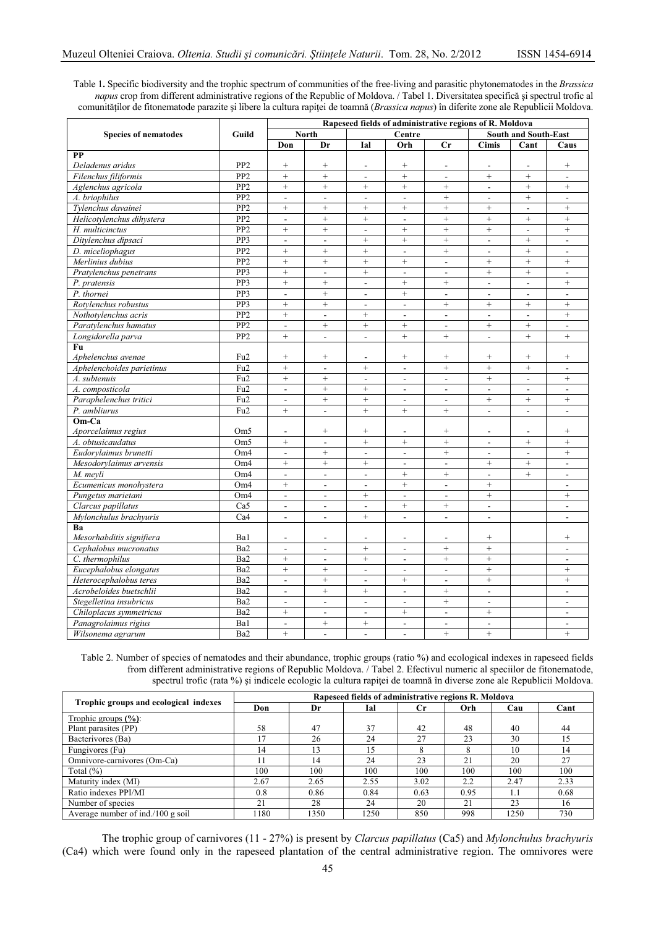Table 1**.** Specific biodiversity and the trophic spectrum of communities of the free-living and parasitic phytonematodes in the *Brassica napus* crop from different administrative regions of the Republic of Moldova. / Tabel 1. Diversitatea specifică și spectrul trofic al comunităților de fitonematode parazite și libere la cultura rapiței de toamnă (*Brassica napus*) în diferite zone ale Republicii Moldova.

|                             | Guild           | Rapeseed fields of administrative regions of R. Moldova |                          |                          |                          |                          |                             |                          |                          |  |
|-----------------------------|-----------------|---------------------------------------------------------|--------------------------|--------------------------|--------------------------|--------------------------|-----------------------------|--------------------------|--------------------------|--|
| <b>Species of nematodes</b> |                 | <b>North</b>                                            |                          | Centre                   |                          |                          | <b>South and South-East</b> |                          |                          |  |
|                             |                 | Don                                                     | Dr                       | Ial                      | Orh                      | Cr                       | <b>Cimis</b>                | Cant                     | Caus                     |  |
| PP                          |                 |                                                         |                          |                          |                          |                          |                             |                          |                          |  |
| Deladenus aridus            | PP <sub>2</sub> | $\! +$                                                  | $\! + \!\!\!\!$          | ÷.                       | $\! + \!\!\!\!$          | $\overline{a}$           |                             |                          | $^{+}$                   |  |
| Filenchus filiformis        | PP2             | $\ddot{}$                                               | $\overline{+}$           | $\sim$                   | $\ddot{}$                | L.                       | $^+$                        | $^{+}$                   | $\overline{a}$           |  |
| Aglenchus agricola          | PP <sub>2</sub> | $\ddot{}$                                               | $\ddot{}$                | $^{+}$                   | $\ddot{}$                | $^{+}$                   | $\overline{a}$              | $\ddot{}$                | $^{+}$                   |  |
| A. briophilus               | PP <sub>2</sub> | $\frac{1}{2}$                                           | $\overline{\phantom{a}}$ | $\overline{\phantom{a}}$ | $\blacksquare$           | $^{+}$                   | $\overline{a}$              | $\qquad \qquad +$        | $\sim$                   |  |
| Tylenchus davainei          | PP <sub>2</sub> | $\ddot{}$                                               | $^{+}$                   | $\ddot{}$                | $^{+}$                   | $\ddot{}$                | $^{+}$                      | $\overline{a}$           | $^{+}$                   |  |
| Helicotylenchus dihystera   | PP <sub>2</sub> | $\frac{1}{2}$                                           | $\ddot{}$                | $^{+}$                   | $\overline{\phantom{a}}$ | $\ddot{}$                | $^{+}$                      | $^{+}$                   | $\ddot{}$                |  |
| H. multicinctus             | PP <sub>2</sub> | $^{+}$                                                  | $^{+}$                   | $\overline{\phantom{a}}$ | $+$                      | $^{+}$                   | $^{+}$                      | $\overline{a}$           | $^{+}$                   |  |
| Ditylenchus dipsaci         | PP3             | $\frac{1}{2}$                                           | $\overline{\phantom{a}}$ | $\qquad \qquad +$        | $\qquad \qquad +$        | $\qquad \qquad +$        | $\overline{a}$              | $\qquad \qquad +$        | $\overline{a}$           |  |
| D. miceliophagus            | PP2             | $^{+}$                                                  | $^{+}$                   | $^{+}$                   | $\overline{\phantom{a}}$ | $^+$                     | $\overline{\phantom{a}}$    | $^{+}$                   | $\overline{\phantom{a}}$ |  |
| Merlinius dubius            | PP <sub>2</sub> | $\ddot{}$                                               | $^{+}$                   | $^{+}$                   | $^{+}$                   | $\overline{\phantom{a}}$ | $^{+}$                      | $^{+}$                   | $^{+}$                   |  |
| Pratylenchus penetrans      | PP3             | $^{+}$                                                  | $\overline{\phantom{a}}$ | $\qquad \qquad +$        | $\blacksquare$           | $\blacksquare$           | $^+$                        | $+$                      | $\blacksquare$           |  |
| P. pratensis                | PP <sub>3</sub> | $\ddot{}$                                               | $\! + \!\!\!\!$          | $\overline{\phantom{a}}$ | $^{+}$                   | $^+$                     | $\frac{1}{2}$               | $\mathbb{L}$             | $^{+}$                   |  |
| P. thornei                  | PP <sub>3</sub> | $\overline{\phantom{a}}$                                | $^{+}$                   | $\overline{a}$           | $+$                      | $\blacksquare$           | $\overline{\phantom{a}}$    | $\overline{a}$           | $\sim$                   |  |
| Rotylenchus robustus        | PP3             | $\ddot{}$                                               | $^{+}$                   | $\sim$                   | $\overline{a}$           | $^{+}$                   | $^{+}$                      | $^{+}$                   | $^{+}$                   |  |
| Nothotylenchus acris        | PP <sub>2</sub> | $^{+}$                                                  | $\overline{a}$           | $^{+}$                   | ÷,                       | $\overline{\phantom{a}}$ | L.                          | $\bar{\phantom{a}}$      | $^{+}$                   |  |
| Paratylenchus hamatus       | PP <sub>2</sub> | $\mathbf{r}$                                            | $^{+}$                   | $^{+}$                   | $^{+}$                   | $\blacksquare$           | $^{+}$                      | $^{+}$                   | $\sim$                   |  |
| Longidorella parva          | PP <sub>2</sub> | $^{+}$                                                  | $\overline{a}$           | $\sim$                   | $^{+}$                   | $\! +$                   | $\overline{a}$              | $^{+}$                   | $^{+}$                   |  |
| Fu                          |                 |                                                         |                          |                          |                          |                          |                             |                          |                          |  |
| Aphelenchus avenae          | Fu <sub>2</sub> | $^{+}$                                                  | $^{+}$                   | ۰                        | $\! + \!\!\!\!$          | $\! +$                   | $^{+}$                      | $^{+}$                   | $^{+}$                   |  |
| Aphelenchoides parietinus   | Fu <sub>2</sub> | $\ddot{}$                                               | $\overline{a}$           | $^{+}$                   | $\overline{a}$           | $^{+}$                   | $^{+}$                      | $^{+}$                   | $\sim$                   |  |
| A. subtenuis                | Fu <sub>2</sub> | $^{+}$                                                  | $\qquad \qquad +$        | $\sim$                   | ÷,                       | $\overline{\phantom{a}}$ | $^{+}$                      | $\overline{a}$           | $^{+}$                   |  |
| A. composticola             | Fu <sub>2</sub> | $\overline{\phantom{a}}$                                | $^{+}$                   | $^{+}$                   |                          | $\overline{\phantom{a}}$ | $\overline{a}$              |                          | L.                       |  |
| Paraphelenchus tritici      | Fu <sub>2</sub> | $\qquad \qquad \blacksquare$                            | $\ddot{}$                | $^{+}$                   | $\overline{\phantom{a}}$ | $\overline{a}$           | $^{+}$                      | $^{+}$                   | $^{+}$                   |  |
| P. ambliurus                | Fu <sub>2</sub> | $\ddot{}$                                               | $\frac{1}{2}$            | $^{+}$                   | $^{+}$                   | $^{+}$                   | $\frac{1}{2}$               | $\overline{a}$           | $\overline{\phantom{a}}$ |  |
| Om-Ca                       |                 |                                                         |                          |                          |                          |                          |                             |                          |                          |  |
| Aporcelaimus regius         | Om5             | $\overline{\phantom{a}}$                                | $^{+}$                   | $^{+}$                   | $\overline{\phantom{a}}$ | $^{+}$                   | $\overline{a}$              | $\overline{a}$           | $^{+}$                   |  |
| A. obtusicaudatus           | Om <sub>5</sub> | $^{+}$                                                  | $\overline{a}$           | $\qquad \qquad +$        | $^{+}$                   | $^{+}$                   | $\overline{\phantom{a}}$    | $\qquad \qquad +$        | $^{+}$                   |  |
| Eudorylaimus brunetti       | Om <sub>4</sub> | $\blacksquare$                                          | $^{+}$                   | $\sim$                   | $\sim$                   | $^+$                     | $\overline{\phantom{a}}$    | $\overline{\phantom{a}}$ | $^{+}$                   |  |
| Mesodorylaimus arvensis     | Om <sub>4</sub> | $\ddot{}$                                               | $^{+}$                   | $^{+}$                   | $\blacksquare$           | $\overline{a}$           | $^{+}$                      | $\! + \!\!\!\!$          | $\mathbb{L}$             |  |
| M. meyli                    | Om <sub>4</sub> | $\overline{\phantom{a}}$                                | $\blacksquare$           | $\sim$                   | $^{+}$                   | $^{+}$                   | $\overline{\phantom{a}}$    | $^{+}$                   | $\sim$                   |  |
| Ecumenicus monohystera      | Om <sub>4</sub> | $^{+}$                                                  | $\Box$                   | $\overline{a}$           | $^{+}$                   | $\overline{a}$           | $^{+}$                      |                          | $\sim$                   |  |
| Pungetus marietani          | Om <sub>4</sub> | $\overline{\phantom{a}}$                                | $\overline{a}$           | $^{+}$                   | $\sim$                   | $\overline{\phantom{a}}$ | $^{+}$                      |                          | $\ddot{}$                |  |
| Clarcus papillatus          | Ca5             | $\mathbf{r}$                                            | $\overline{\phantom{a}}$ | $\sim$                   | $^{+}$                   | $^{+}$                   | $\mathbf{r}$                |                          | $\sim$                   |  |
| Mylonchulus brachyuris      | Ca4             | $\sim$                                                  | $\overline{a}$           | $^{+}$                   | $\sim$                   | $\overline{a}$           | $\frac{1}{2}$               |                          | $\overline{\phantom{a}}$ |  |
| Ba                          |                 |                                                         |                          |                          |                          |                          |                             |                          |                          |  |
| Mesorhabditis signifiera    | Ba1             | L.                                                      |                          |                          |                          |                          | $^{+}$                      |                          | $^{+}$                   |  |
| Cephalobus mucronatus       | Ba2             | $\overline{a}$                                          | $\overline{a}$           |                          | $\overline{a}$           | $\qquad \qquad +$        | $^+$                        |                          | $\overline{a}$           |  |
| C. thermophilus             | Ba2             | $^{+}$                                                  | $\overline{a}$           | $^{+}$                   | $\overline{a}$           | $^{+}$                   | $^{+}$                      |                          | $\overline{a}$           |  |
| Eucephalobus elongatus      | Ba2             | $\ddot{}$                                               | $^{+}$                   | $\overline{\phantom{a}}$ | $\overline{a}$           | $\overline{\phantom{a}}$ | $^{+}$                      |                          | $^{+}$                   |  |
| Heterocephalobus teres      | Ba2             | $\overline{a}$                                          | $^{+}$                   | ÷                        | $^{+}$                   | $\overline{a}$           | $^+$                        |                          | $^{+}$                   |  |
| Acrobeloides buetschlii     | Ba2             | $\overline{a}$                                          | $^{+}$                   | $^{+}$                   | $\frac{1}{2}$            | $^{+}$                   | $\frac{1}{2}$               |                          | $\blacksquare$           |  |
| Stegelletina insubricus     | Ba2             | $\overline{\phantom{a}}$                                | $\blacksquare$           | $\overline{\phantom{a}}$ | $\blacksquare$           | $^{+}$                   | $\overline{\phantom{a}}$    |                          | $\overline{\phantom{a}}$ |  |
| Chiloplacus symmetricus     | Ba2             | $^{+}$                                                  | $\overline{\phantom{a}}$ | $\sim$                   | $^{+}$                   | $\overline{\phantom{a}}$ | $^{+}$                      |                          | $\overline{\phantom{a}}$ |  |
| Panagrolaimus rigius        | Ba1             | $\blacksquare$                                          | $^+$                     | $\! + \!$                | $\blacksquare$           | $\overline{\phantom{a}}$ | $\overline{a}$              |                          | $\blacksquare$           |  |
| Wilsonema agrarum           | Ba2             | $\ddot{}$                                               | $\overline{a}$           | $\sim$                   | $\overline{\phantom{a}}$ | $^{+}$                   | $^{+}$                      |                          | $^{+}$                   |  |

Table 2. Number of species of nematodes and their abundance, trophic groups (ratio %) and ecological indexes in rapeseed fields from different administrative regions of Republic Moldova. / Tabel 2. Efectivul numeric al speciilor de fitonematode, spectrul trofic (rata %) și indicele ecologic la cultura rapiței de toamnă în diverse zone ale Republicii Moldova.

|                                       | Rapeseed fields of administrative regions R. Moldova |      |      |             |      |      |      |  |  |  |
|---------------------------------------|------------------------------------------------------|------|------|-------------|------|------|------|--|--|--|
| Trophic groups and ecological indexes | Don                                                  | Dr   | Ial  | $_{\rm Cr}$ | Orh  | Cau  | Cant |  |  |  |
| Trophic groups $(\%):$                |                                                      |      |      |             |      |      |      |  |  |  |
| Plant parasites (PP)                  | 58                                                   | 47   | 37   | 42          | 48   | 40   | 44   |  |  |  |
| Bacterivores (Ba)                     | 17                                                   | 26   | 24   | 27          | 23   | 30   | .5   |  |  |  |
| Fungivores (Fu)                       | 14                                                   | 13   | 15   |             | 8    | 10   | 14   |  |  |  |
| Omnivore-carnivores (Om-Ca)           | 11                                                   | 14   | 24   | 23          | 21   | 20   | 27   |  |  |  |
| Total $(\%)$                          | 100                                                  | 100  | 100  | 100         | 100  | 100  | 100  |  |  |  |
| Maturity index (MI)                   | 2.67                                                 | 2.65 | 2.55 | 3.02        | 2.2  | 2.47 | 2.33 |  |  |  |
| Ratio indexes PPI/MI                  | 0.8                                                  | 0.86 | 0.84 | 0.63        | 0.95 | 1.1  | 0.68 |  |  |  |
| Number of species                     | 21                                                   | 28   | 24   | 20          | 21   | 23   | 16   |  |  |  |
| Average number of $ind./100$ g soil   | 1180                                                 | 1350 | 1250 | 850         | 998  | 1250 | 730  |  |  |  |

The trophic group of carnivores (11 - 27%) is present by *Clarcus papillatus* (Ca5) and *Mylonchulus brachyuris* (Ca4) which were found only in the rapeseed plantation of the central administrative region. The omnivores were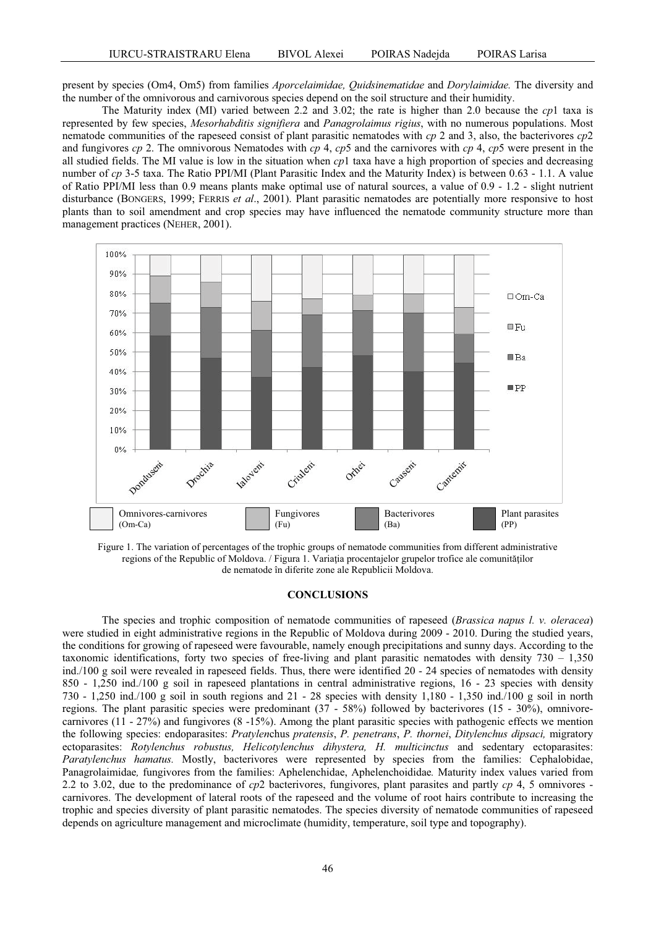present by species (Om4, Om5) from families *Aporcelaimidae, Quidsinematidae* and *Dorylaimidae.* The diversity and the number of the omnivorous and carnivorous species depend on the soil structure and their humidity.

The Maturity index (MI) varied between 2.2 and 3.02; the rate is higher than 2.0 because the *cp*1 taxa is represented by few species, *Mesorhabditis signifiera* and *Panagrolaimus rigius*, with no numerous populations. Most nematode communities of the rapeseed consist of plant parasitic nematodes with *cp* 2 and 3, also, the bacterivores *cp*2 and fungivores *cp* 2. The omnivorous Nematodes with *cp* 4, *cp*5 and the carnivores with *cp* 4, *cp*5 were present in the all studied fields. The MI value is low in the situation when *cp*1 taxa have a high proportion of species and decreasing number of *cp* 3-5 taxa. The Ratio PPI/MI (Plant Parasitic Index and the Maturity Index) is between 0.63 - 1.1. A value of Ratio PPI/MI less than 0.9 means plants make optimal use of natural sources, a value of 0.9 - 1.2 - slight nutrient disturbance (BONGERS, 1999; FERRIS *et al*., 2001). Plant parasitic nematodes are potentially more responsive to host plants than to soil amendment and crop species may have influenced the nematode community structure more than management practices (NEHER, 2001).



Figure 1. The variation of percentages of the trophic groups of nematode communities from different administrative regions of the Republic of Moldova. / Figura 1. Variația procentajelor grupelor trofice ale comunităților de nematode în diferite zone ale Republicii Moldova.

## **CONCLUSIONS**

The species and trophic composition of nematode communities of rapeseed (*Brassica napus l. v. oleracea*) were studied in eight administrative regions in the Republic of Moldova during 2009 - 2010. During the studied years, the conditions for growing of rapeseed were favourable, namely enough precipitations and sunny days. According to the taxonomic identifications, forty two species of free-living and plant parasitic nematodes with density 730 – 1,350 ind./100 g soil were revealed in rapeseed fields. Thus, there were identified 20 - 24 species of nematodes with density 850 - 1,250 ind./100 g soil in rapeseed plantations in central administrative regions, 16 - 23 species with density 730 - 1,250 ind./100 g soil in south regions and 21 - 28 species with density 1,180 - 1,350 ind./100 g soil in north regions. The plant parasitic species were predominant (37 - 58%) followed by bacterivores (15 - 30%), omnivorecarnivores (11 - 27%) and fungivores (8 -15%). Among the plant parasitic species with pathogenic effects we mention the following species: endoparasites: *Pratylen*chus *pratensis*, *P. penetrans*, *P. thornei*, *Ditylenchus dipsaci,* migratory ectoparasites: *Rotylenchus robustus, Helicotylenchus dihystera, H. multicinctus* and sedentary ectoparasites: *Paratylenchus hamatus.* Mostly, bacterivores were represented by species from the families: Cephalobidae, Panagrolaimidae*,* fungivores from the families: Aphelenchidae, Aphelenchoididae*.* Maturity index values varied from 2.2 to 3.02, due to the predominance of *cp*2 bacterivores, fungivores, plant parasites and partly *cp* 4, 5 omnivores carnivores. The development of lateral roots of the rapeseed and the volume of root hairs contribute to increasing the trophic and species diversity of plant parasitic nematodes. The species diversity of nematode communities of rapeseed depends on agriculture management and microclimate (humidity, temperature, soil type and topography).